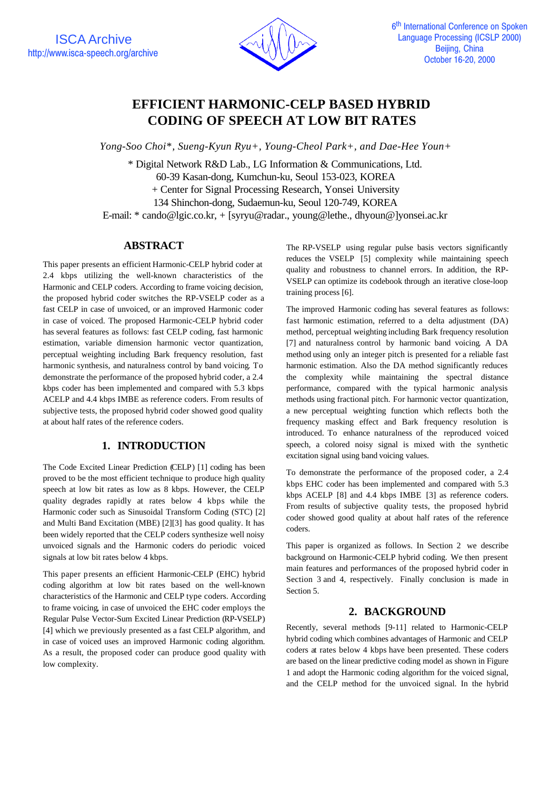

# **EFFICIENT HARMONIC-CELP BASED HYBRID CODING OF SPEECH AT LOW BIT RATES**

*Yong-Soo Choi\*, Sueng-Kyun Ryu+, Young-Cheol Park+, and Dae-Hee Youn+*

\* Digital Network R&D Lab., LG Information & Communications, Ltd. 60-39 Kasan-dong, Kumchun-ku, Seoul 153-023, KOREA + Center for Signal Processing Research, Yonsei University 134 Shinchon-dong, Sudaemun-ku, Seoul 120-749, KOREA E-mail: \* cando@lgic.co.kr, + [syryu@radar., young@lethe., dhyoun@]yonsei.ac.kr

# **ABSTRACT**

This paper presents an efficient Harmonic-CELP hybrid coder at 2.4 kbps utilizing the well-known characteristics of the Harmonic and CELP coders. According to frame voicing decision, the proposed hybrid coder switches the RP-VSELP coder as a fast CELP in case of unvoiced, or an improved Harmonic coder in case of voiced. The proposed Harmonic-CELP hybrid coder has several features as follows: fast CELP coding, fast harmonic estimation, variable dimension harmonic vector quantization, perceptual weighting including Bark frequency resolution, fast harmonic synthesis, and naturalness control by band voicing. To demonstrate the performance of the proposed hybrid coder, a 2.4 kbps coder has been implemented and compared with 5.3 kbps ACELP and 4.4 kbps IMBE as reference coders. From results of subjective tests, the proposed hybrid coder showed good quality at about half rates of the reference coders.

# **1. INTRODUCTION**

The Code Excited Linear Prediction (CELP) [1] coding has been proved to be the most efficient technique to produce high quality speech at low bit rates as low as 8 kbps. However, the CELP quality degrades rapidly at rates below 4 kbps while the Harmonic coder such as Sinusoidal Transform Coding (STC) [2] and Multi Band Excitation (MBE) [2][3] has good quality. It has been widely reported that the CELP coders synthesize well noisy unvoiced signals and the Harmonic coders do periodic voiced signals at low bit rates below 4 kbps.

This paper presents an efficient Harmonic-CELP (EHC) hybrid coding algorithm at low bit rates based on the well-known characteristics of the Harmonic and CELP type coders. According to frame voicing, in case of unvoiced the EHC coder employs the Regular Pulse Vector-Sum Excited Linear Prediction (RP-VSELP) [4] which we previously presented as a fast CELP algorithm, and in case of voiced uses an improved Harmonic coding algorithm. As a result, the proposed coder can produce good quality with low complexity.

The RP-VSELP using regular pulse basis vectors significantly reduces the VSELP [5] complexity while maintaining speech quality and robustness to channel errors. In addition, the RP-VSELP can optimize its codebook through an iterative close-loop training process [6].

The improved Harmonic coding has several features as follows: fast harmonic estimation, referred to a delta adjustment (DA) method, perceptual weighting including Bark frequency resolution [7] and naturalness control by harmonic band voicing. A DA method using only an integer pitch is presented for a reliable fast harmonic estimation. Also the DA method significantly reduces the complexity while maintaining the spectral distance performance, compared with the typical harmonic analysis methods using fractional pitch. For harmonic vector quantization, a new perceptual weighting function which reflects both the frequency masking effect and Bark frequency resolution is introduced. To enhance naturalness of the reproduced voiced speech, a colored noisy signal is mixed with the synthetic excitation signal using band voicing values.

To demonstrate the performance of the proposed coder, a 2.4 kbps EHC coder has been implemented and compared with 5.3 kbps ACELP [8] and 4.4 kbps IMBE [3] as reference coders. From results of subjective quality tests, the proposed hybrid coder showed good quality at about half rates of the reference coders.

This paper is organized as follows. In Section 2 we describe background on Harmonic-CELP hybrid coding. We then present main features and performances of the proposed hybrid coder in Section 3 and 4, respectively. Finally conclusion is made in Section 5.

### **2. BACKGROUND**

Recently, several methods [9-11] related to Harmonic-CELP hybrid coding which combines advantages of Harmonic and CELP coders at rates below 4 kbps have been presented. These coders are based on the linear predictive coding model as shown in Figure 1 and adopt the Harmonic coding algorithm for the voiced signal, and the CELP method for the unvoiced signal. In the hybrid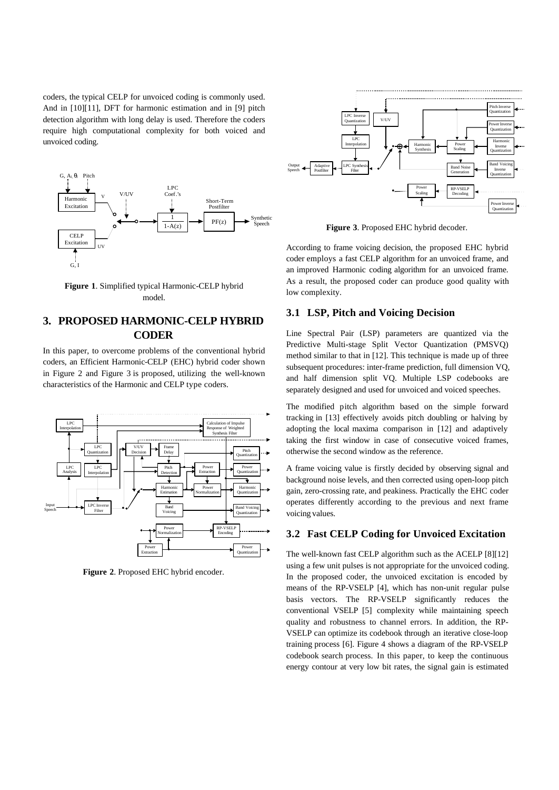coders, the typical CELP for unvoiced coding is commonly used. And in [10][11], DFT for harmonic estimation and in [9] pitch detection algorithm with long delay is used. Therefore the coders require high computational complexity for both voiced and unvoiced coding.



**Figure 1**. Simplified typical Harmonic-CELP hybrid model.

## **3. PROPOSED HARMONIC-CELP HYBRID CODER**

In this paper, to overcome problems of the conventional hybrid coders, an Efficient Harmonic-CELP (EHC) hybrid coder shown in Figure 2 and Figure 3 is proposed, utilizing the well-known characteristics of the Harmonic and CELP type coders.



**Figure 2**. Proposed EHC hybrid encoder.



**Figure 3**. Proposed EHC hybrid decoder.

According to frame voicing decision, the proposed EHC hybrid coder employs a fast CELP algorithm for an unvoiced frame, and an improved Harmonic coding algorithm for an unvoiced frame. As a result, the proposed coder can produce good quality with low complexity.

#### **3.1 LSP, Pitch and Voicing Decision**

Line Spectral Pair (LSP) parameters are quantized via the Predictive Multi-stage Split Vector Quantization (PMSVQ) method similar to that in [12]. This technique is made up of three subsequent procedures: inter-frame prediction, full dimension VQ, and half dimension split VQ. Multiple LSP codebooks are separately designed and used for unvoiced and voiced speeches.

The modified pitch algorithm based on the simple forward tracking in [13] effectively avoids pitch doubling or halving by adopting the local maxima comparison in [12] and adaptively taking the first window in case of consecutive voiced frames, otherwise the second window as the reference.

A frame voicing value is firstly decided by observing signal and background noise levels, and then corrected using open-loop pitch gain, zero-crossing rate, and peakiness. Practically the EHC coder operates differently according to the previous and next frame voicing values.

#### **3.2 Fast CELP Coding for Unvoiced Excitation**

The well-known fast CELP algorithm such as the ACELP [8][12] using a few unit pulses is not appropriate for the unvoiced coding. In the proposed coder, the unvoiced excitation is encoded by means of the RP-VSELP [4], which has non-unit regular pulse basis vectors. The RP-VSELP significantly reduces the conventional VSELP [5] complexity while maintaining speech quality and robustness to channel errors. In addition, the RP-VSELP can optimize its codebook through an iterative close-loop training process [6]. Figure 4 shows a diagram of the RP-VSELP codebook search process. In this paper, to keep the continuous energy contour at very low bit rates, the signal gain is estimated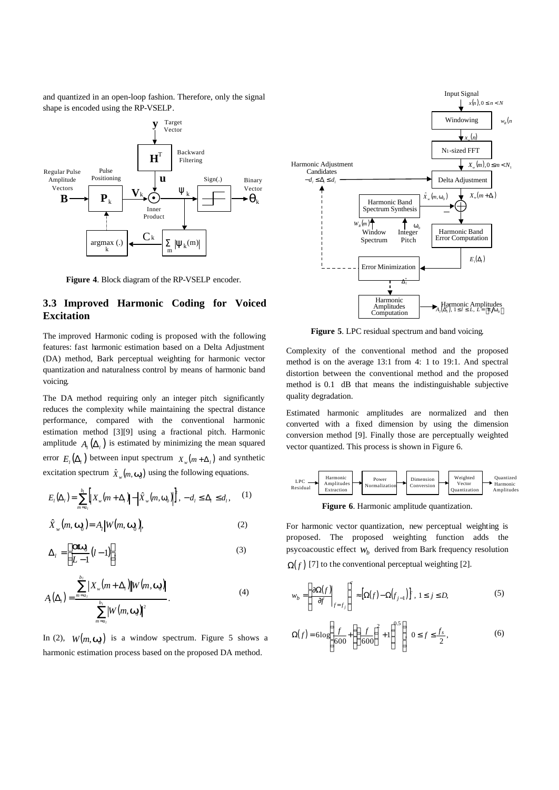and quantized in an open-loop fashion. Therefore, only the signal shape is encoded using the RP-VSELP.



**Figure 4**. Block diagram of the RP-VSELP encoder.

### **3.3 Improved Harmonic Coding for Voiced Excitation**

The improved Harmonic coding is proposed with the following features: fast harmonic estimation based on a Delta Adjustment (DA) method, Bark perceptual weighting for harmonic vector quantization and naturalness control by means of harmonic band voicing.

The DA method requiring only an integer pitch significantly reduces the complexity while maintaining the spectral distance performance, compared with the conventional harmonic estimation method [3][9] using a fractional pitch. Harmonic amplitude  $A_l(\Delta_l)$  is estimated by minimizing the mean squared error  $E_l(\Delta_l)$  between input spectrum  $X_w(m + \Delta_l)$  and synthetic excitation spectrum  $\hat{X}_w(m, \mathbf{w})$  using the following equations.

$$
E_{l}(\Delta_{l}) = \sum_{m=a_{l}}^{b_{l}} \left[ X_{w}(m+\Delta_{l}) \right] - \left| \hat{X}_{w}(m, \mathbf{w}_{0}) \right|^{2}, -d_{l} \leq \Delta_{l} \leq d_{l}, \qquad (1)
$$

$$
\hat{X}_{w}(m, \mathbf{w}_{0}) = A_{l} |W(m, \mathbf{w}_{0})|,
$$
\n(2)

$$
\Delta_l = \left[ \frac{\text{d}W_0}{L - 1} (l - 1) \right],\tag{3}
$$

$$
A_{i}(\Delta_{i}) = \frac{\sum_{m=a_{i}}^{b_{i}} |X_{w}(m+\Delta_{i})| |W(m, \mathbf{w}_{i})|}{\sum_{m=a_{i}}^{b_{i}} |W(m, \mathbf{w}_{i})|^{2}}.
$$
\n(4)

In (2),  $W(m, w)$  is a window spectrum. Figure 5 shows a harmonic estimation process based on the proposed DA method.



**Figure 5**. LPC residual spectrum and band voicing.

Complexity of the conventional method and the proposed method is on the average 13:1 from 4: 1 to 19:1. And spectral distortion between the conventional method and the proposed method is 0.1 dB that means the indistinguishable subjective quality degradation.

Estimated harmonic amplitudes are normalized and then converted with a fixed dimension by using the dimension conversion method [9]. Finally those are perceptually weighted vector quantized. This process is shown in Figure 6.



**Figure 6**. Harmonic amplitude quantization.

For harmonic vector quantization, new perceptual weighting is proposed. The proposed weighting function adds the psycoacoustic effect *w<sup>b</sup>* derived from Bark frequency resolution  $\Omega(f)$  [7] to the conventional perceptual weighting [2].

$$
w_b = \left[\frac{\partial \Omega(f)}{\partial f}\Big|_{f=f_j}\right]^{c} \approx \left[\Omega(f) - \Omega(f_{j-1})\right]^{c}, 1 \le j \le D,
$$
\n<sup>(5)</sup>

$$
\Omega(f) = 6\log\left(\frac{f}{600} + \left(\left(\frac{f}{600}\right)^2 + 1\right)^{0.5}\right) \quad 0 \le f \le \frac{f_s}{2},\tag{6}
$$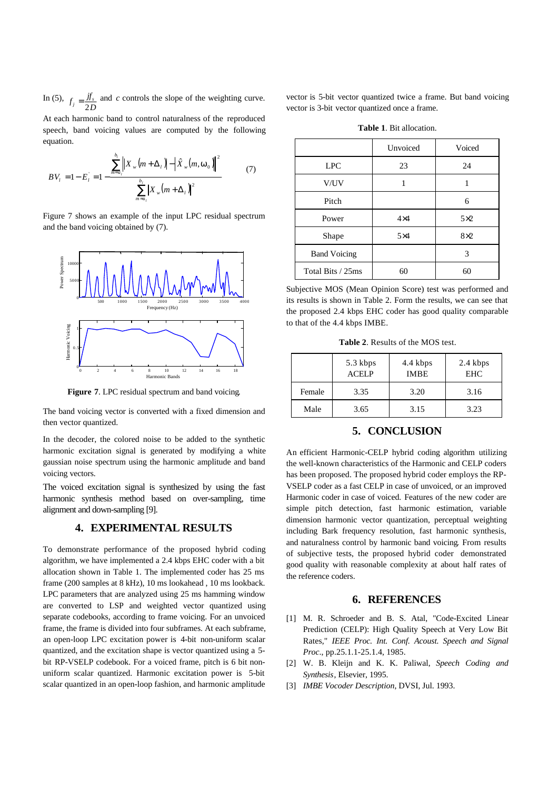In (5),  $f_j = \frac{f}{2D}$  and *c* controls the slope of the weighting curve.

At each harmonic band to control naturalness of the reproduced speech, band voicing values are computed by the following equation.

$$
BV_{l} = 1 - E_{l} = 1 - \frac{\sum_{m=a_{l}}^{b_{l}} \left\|X_{w}(m + \Delta_{l})\right\| - \left|\hat{X}_{w}(m, \mathbf{w}_{0})\right\|^{2}}{\sum_{m=a_{l}}^{b_{l}} \left|X_{w}(m + \Delta_{l})\right|^{2}}
$$
(7)

Figure 7 shows an example of the input LPC residual spectrum and the band voicing obtained by (7).



**Figure 7**. LPC residual spectrum and band voicing.

The band voicing vector is converted with a fixed dimension and then vector quantized.

In the decoder, the colored noise to be added to the synthetic harmonic excitation signal is generated by modifying a white gaussian noise spectrum using the harmonic amplitude and band voicing vectors.

The voiced excitation signal is synthesized by using the fast harmonic synthesis method based on over-sampling, time alignment and down-sampling [9].

### **4. EXPERIMENTAL RESULTS**

To demonstrate performance of the proposed hybrid coding algorithm, we have implemented a 2.4 kbps EHC coder with a bit allocation shown in Table 1. The implemented coder has 25 ms frame (200 samples at 8 kHz), 10 ms lookahead , 10 ms lookback. LPC parameters that are analyzed using 25 ms hamming window are converted to LSP and weighted vector quantized using separate codebooks, according to frame voicing. For an unvoiced frame, the frame is divided into four subframes. At each subframe, an open-loop LPC excitation power is 4-bit non-uniform scalar quantized, and the excitation shape is vector quantized using a 5 bit RP-VSELP codebook. For a voiced frame, pitch is 6 bit nonuniform scalar quantized. Harmonic excitation power is 5-bit scalar quantized in an open-loop fashion, and harmonic amplitude

vector is 5-bit vector quantized twice a frame. But band voicing vector is 3-bit vector quantized once a frame.

**Table 1**. Bit allocation.

|                     | Unvoiced   | Voiced     |
|---------------------|------------|------------|
| <b>LPC</b>          | 23         | 24         |
| V/UV                |            |            |
| Pitch               |            | 6          |
| Power               | $4\times4$ | $5\times2$ |
| Shape               | $5\times4$ | $8\times2$ |
| <b>Band Voicing</b> |            | 3          |
| Total Bits / 25ms   | 60         | 60         |

Subjective MOS (Mean Opinion Score) test was performed and its results is shown in Table 2. Form the results, we can see that the proposed 2.4 kbps EHC coder has good quality comparable to that of the 4.4 kbps IMBE.

**Table 2**. Results of the MOS test.

|        | 5.3 kbps<br><b>ACELP</b> | 4.4 kbps<br><b>IMBE</b> | 2.4 kbps<br><b>EHC</b> |
|--------|--------------------------|-------------------------|------------------------|
| Female | 3.35                     | 3.20                    | 3.16                   |
| Male   | 3.65                     | 3.15                    | 3.23                   |

### **5. CONCLUSION**

An efficient Harmonic-CELP hybrid coding algorithm utilizing the well-known characteristics of the Harmonic and CELP coders has been proposed. The proposed hybrid coder employs the RP-VSELP coder as a fast CELP in case of unvoiced, or an improved Harmonic coder in case of voiced. Features of the new coder are simple pitch detection, fast harmonic estimation, variable dimension harmonic vector quantization, perceptual weighting including Bark frequency resolution, fast harmonic synthesis, and naturalness control by harmonic band voicing. From results of subjective tests, the proposed hybrid coder demonstrated good quality with reasonable complexity at about half rates of the reference coders.

#### **6. REFERENCES**

- [1] M. R. Schroeder and B. S. Atal, "Code-Excited Linear Prediction (CELP): High Quality Speech at Very Low Bit Rates," *IEEE Proc. Int. Conf. Acoust. Speech and Signal Proc*., pp.25.1.1-25.1.4, 1985.
- [2] W. B. Kleijn and K. K. Paliwal, *Speech Coding and Synthesis*, Elsevier, 1995.
- [3] *IMBE Vocoder Description*, DVSI, Jul. 1993.